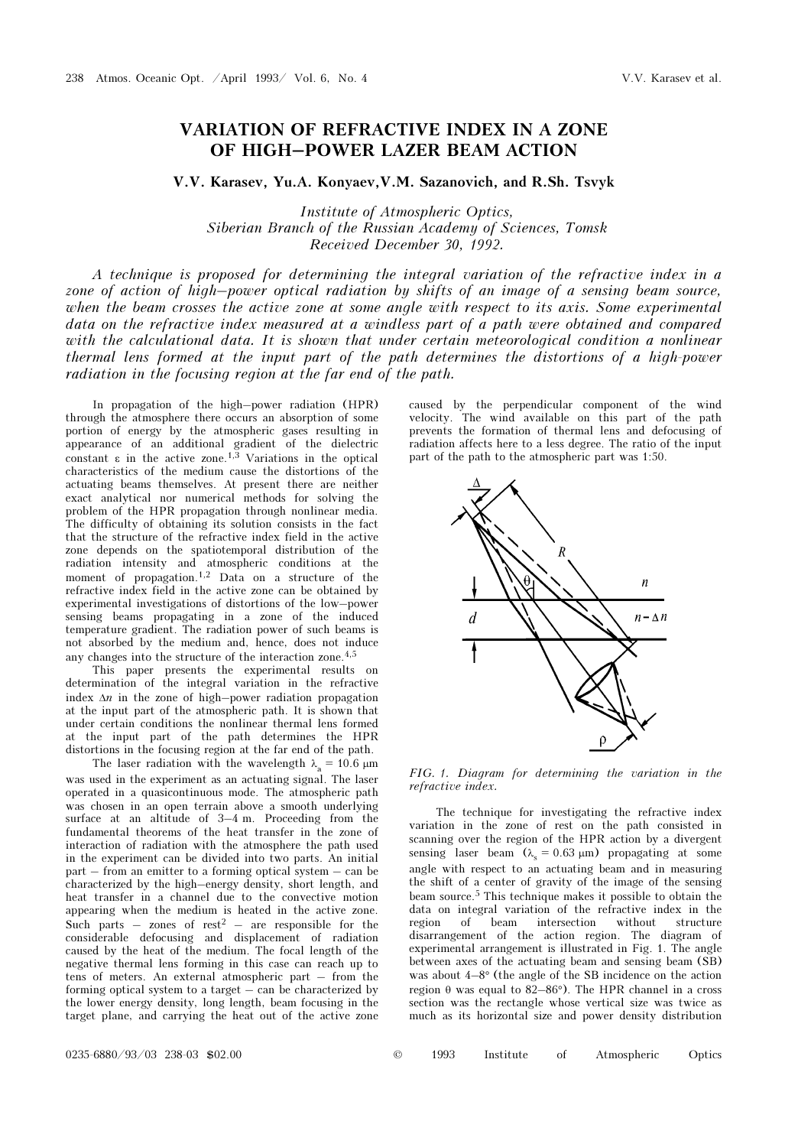## VARIATION OF REFRACTIVE INDEX IN A ZONE OF HIGH–POWER LAZER BEAM ACTION

V.V. Karasev, Yu.A. Konyaev,V.M. Sazanovich, and R.Sh. Tsvyk

Institute of Atmospheric Optics, Siberian Branch of the Russian Academy of Sciences, Tomsk Received December 30, 1992.

A technique is proposed for determining the integral variation of the refractive index in a zone of action of high–power optical radiation by shifts of an image of a sensing beam source, when the beam crosses the active zone at some angle with respect to its axis. Some experimental data on the refractive index measured at a windless part of a path were obtained and compared with the calculational data. It is shown that under certain meteorological condition a nonlinear thermal lens formed at the input part of the path determines the distortions of a high-power radiation in the focusing region at the far end of the path.

In propagation of the high–power radiation (HPR) through the atmosphere there occurs an absorption of some portion of energy by the atmospheric gases resulting in appearance of an additional gradient of the dielectric constant  $\varepsilon$  in the active zone.<sup>1,3</sup> Variations in the optical characteristics of the medium cause the distortions of the actuating beams themselves. At present there are neither exact analytical nor numerical methods for solving the problem of the HPR propagation through nonlinear media. The difficulty of obtaining its solution consists in the fact that the structure of the refractive index field in the active zone depends on the spatiotemporal distribution of the radiation intensity and atmospheric conditions at the moment of propagation.<sup>1,2</sup> Data on a structure of the refractive index field in the active zone can be obtained by experimental investigations of distortions of the low–power sensing beams propagating in a zone of the induced temperature gradient. The radiation power of such beams is not absorbed by the medium and, hence, does not induce any changes into the structure of the interaction zone.4,5

This paper presents the experimental results on determination of the integral variation in the refractive index  $\Delta n$  in the zone of high–power radiation propagation at the input part of the atmospheric path. It is shown that under certain conditions the nonlinear thermal lens formed at the input part of the path determines the HPR distortions in the focusing region at the far end of the path.

The laser radiation with the wavelength  $\lambda_a = 10.6 \text{ }\mu\text{m}$ was used in the experiment as an actuating signal. The laser operated in a quasicontinuous mode. The atmospheric path was chosen in an open terrain above a smooth underlying surface at an altitude of 3–4 m. Proceeding from the fundamental theorems of the heat transfer in the zone of interaction of radiation with the atmosphere the path used in the experiment can be divided into two parts. An initial part – from an emitter to a forming optical system – can be characterized by the high–energy density, short length, and heat transfer in a channel due to the convective motion appearing when the medium is heated in the active zone. Such parts – zones of rest<sup>2</sup> – are responsible for the considerable defocusing and displacement of radiation caused by the heat of the medium. The focal length of the negative thermal lens forming in this case can reach up to tens of meters. An external atmospheric part – from the forming optical system to a target  $-\overline{\text{can}}$  be characterized by the lower energy density, long length, beam focusing in the target plane, and carrying the heat out of the active zone

caused by the perpendicular component of the wind velocity. The wind available on this part of the path prevents the formation of thermal lens and defocusing of radiation affects here to a less degree. The ratio of the input part of the path to the atmospheric part was 1:50.



FIG. 1. Diagram for determining the variation in the refractive index.

The technique for investigating the refractive index variation in the zone of rest on the path consisted in scanning over the region of the HPR action by a divergent sensing laser beam  $(\lambda_s = 0.63 \,\mu\text{m})$  propagating at some angle with respect to an actuating beam and in measuring the shift of a center of gravity of the image of the sensing beam source.5 This technique makes it possible to obtain the data on integral variation of the refractive index in the region of beam intersection without structure disarrangement of the action region. The diagram of experimental arrangement is illustrated in Fig. 1. The angle between axes of the actuating beam and sensing beam (SB) was about 4–8° (the angle of the SB incidence on the action region θ was equal to 82–86°). The HPR channel in a cross section was the rectangle whose vertical size was twice as much as its horizontal size and power density distribution

| © | 1993 | Institute | Atmospheric | Optics |
|---|------|-----------|-------------|--------|
|   |      |           |             |        |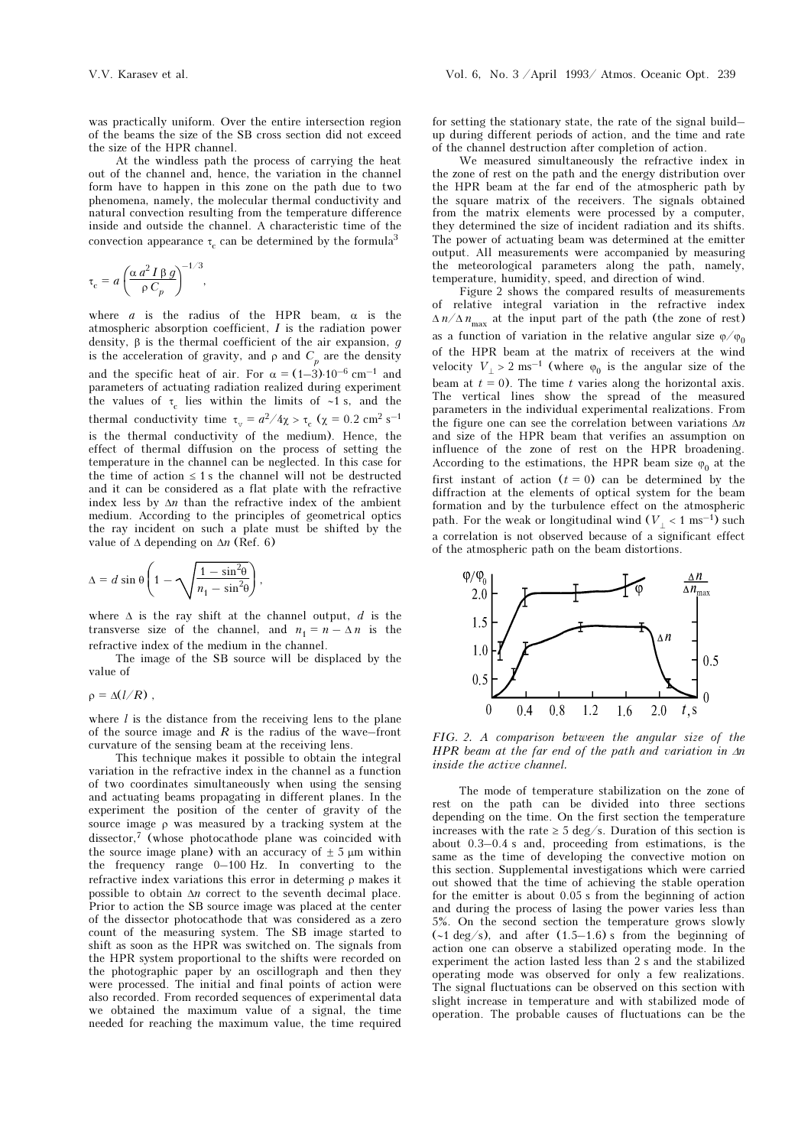was practically uniform. Over the entire intersection region of the beams the size of the SB cross section did not exceed the size of the HPR channel.

At the windless path the process of carrying the heat out of the channel and, hence, the variation in the channel form have to happen in this zone on the path due to two phenomena, namely, the molecular thermal conductivity and natural convection resulting from the temperature difference inside and outside the channel. A characteristic time of the convection appearance  $\tau_c$  can be determined by the formula<sup>3</sup>

$$
\tau_{\rm c} = a \left( \frac{\alpha a^2 I \beta g}{\rho C_p} \right)^{-1/3},
$$

where  $a$  is the radius of the HPR beam,  $\alpha$  is the atmospheric absorption coefficient, I is the radiation power density,  $\beta$  is the thermal coefficient of the air expansion,  $g$ is the acceleration of gravity, and  $\rho$  and  $C_p$  are the density and the specific heat of air. For  $\alpha = (1-3) \cdot 10^{-6}$  cm<sup>-1</sup> and parameters of actuating radiation realized during experiment the values of  $\tau_c$  lies within the limits of ∼1 s, and the thermal conductivity time  $\tau_{v} = a^2/4\chi > \tau_{c}$  ( $\chi = 0.2$  cm<sup>2</sup> s<sup>-1</sup> is the thermal conductivity of the medium). Hence, the effect of thermal diffusion on the process of setting the temperature in the channel can be neglected. In this case for the time of action  $\leq 1$  s the channel will not be destructed and it can be considered as a flat plate with the refractive index less by  $\Delta n$  than the refractive index of the ambient medium. According to the principles of geometrical optics the ray incident on such a plate must be shifted by the value of  $\Delta$  depending on  $\Delta n$  (Ref. 6)

$$
\Delta = d \sin \theta \left( 1 - \sqrt{\frac{1 - \sin^2 \theta}{n_1 - \sin^2 \theta}} \right),
$$

where  $\Delta$  is the ray shift at the channel output, d is the transverse size of the channel, and  $n_1 = n - \Delta n$  is the refractive index of the medium in the channel.

The image of the SB source will be displaced by the value of

 $\rho = \Delta(l/R)$ ,

where  $l$  is the distance from the receiving lens to the plane of the source image and  $R$  is the radius of the wave–front curvature of the sensing beam at the receiving lens.

This technique makes it possible to obtain the integral variation in the refractive index in the channel as a function of two coordinates simultaneously when using the sensing and actuating beams propagating in different planes. In the experiment the position of the center of gravity of the source image ρ was measured by a tracking system at the dissector,7 (whose photocathode plane was coincided with the source image plane) with an accuracy of  $\pm$  5  $\mu$ m within the frequency range 0–100 Hz. In converting to the refractive index variations this error in determing ρ makes it possible to obtain  $\Delta n$  correct to the seventh decimal place. Prior to action the SB source image was placed at the center of the dissector photocathode that was considered as a zero count of the measuring system. The SB image started to shift as soon as the HPR was switched on. The signals from the HPR system proportional to the shifts were recorded on the photographic paper by an oscillograph and then they were processed. The initial and final points of action were also recorded. From recorded sequences of experimental data we obtained the maximum value of a signal, the time needed for reaching the maximum value, the time required

for setting the stationary state, the rate of the signal build– up during different periods of action, and the time and rate of the channel destruction after completion of action.

We measured simultaneously the refractive index in the zone of rest on the path and the energy distribution over the HPR beam at the far end of the atmospheric path by the square matrix of the receivers. The signals obtained from the matrix elements were processed by a computer, they determined the size of incident radiation and its shifts. The power of actuating beam was determined at the emitter output. All measurements were accompanied by measuring the meteorological parameters along the path, namely, temperature, humidity, speed, and direction of wind.

Figure 2 shows the compared results of measurements of relative integral variation in the refractive index  $\Delta n/\Delta n_{\text{max}}$  at the input part of the path (the zone of rest) as a function of variation in the relative angular size  $\varphi/\varphi_0$ of the HPR beam at the matrix of receivers at the wind velocity  $V_$  > 2 ms<sup>-1</sup> (where  $\varphi_0$  is the angular size of the beam at  $t = 0$ ). The time t varies along the horizontal axis. The vertical lines show the spread of the measured parameters in the individual experimental realizations. From the figure one can see the correlation between variations  $\Delta n$ and size of the HPR beam that verifies an assumption on influence of the zone of rest on the HPR broadening. According to the estimations, the HPR beam size  $\varphi_0$  at the first instant of action  $(t = 0)$  can be determined by the diffraction at the elements of optical system for the beam formation and by the turbulence effect on the atmospheric path. For the weak or longitudinal wind ( $V<sub>⊥</sub> < 1 \text{ ms}^{-1}$ ) such a correlation is not observed because of a significant effect of the atmospheric path on the beam distortions.



FIG. 2. A comparison between the angular size of the HPR beam at the far end of the path and variation in  $\Delta n$ inside the active channel.

The mode of temperature stabilization on the zone of rest on the path can be divided into three sections depending on the time. On the first section the temperature increases with the rate  $\geq 5 \text{ deg/s}$ . Duration of this section is about 0.3–0.4 s and, proceeding from estimations, is the same as the time of developing the convective motion on this section. Supplemental investigations which were carried out showed that the time of achieving the stable operation for the emitter is about 0.05 s from the beginning of action and during the process of lasing the power varies less than 5%. On the second section the temperature grows slowly (∼1 deg/s), and after (1.5–1.6) s from the beginning of action one can observe a stabilized operating mode. In the experiment the action lasted less than 2 s and the stabilized operating mode was observed for only a few realizations. The signal fluctuations can be observed on this section with slight increase in temperature and with stabilized mode of operation. The probable causes of fluctuations can be the